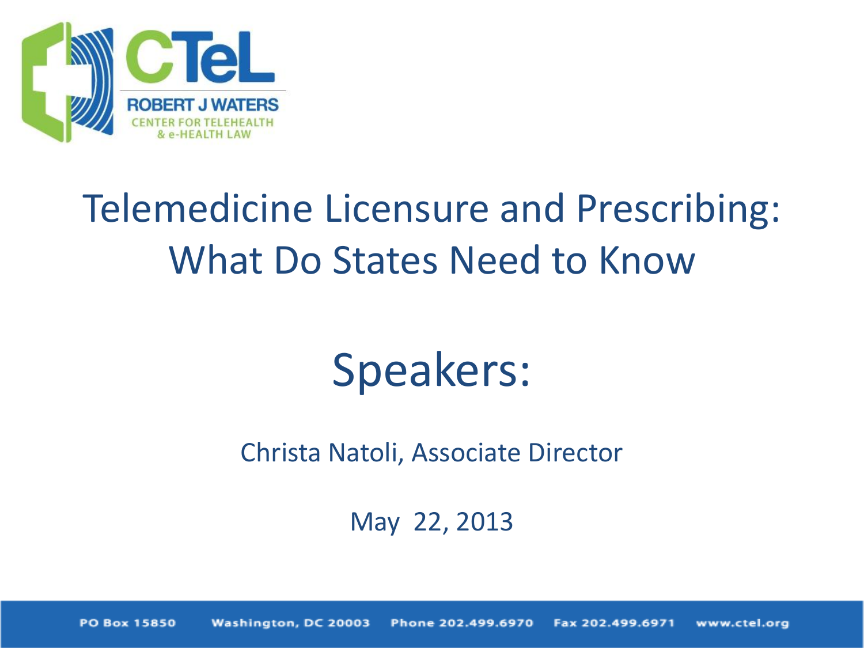

# Telemedicine Licensure and Prescribing: What Do States Need to Know

# Speakers:

Christa Natoli, Associate Director

May 22, 2013

Washington, DC 20003 Phone 202.499.6970 **PO Box 15850** Fax 202.499.6971 www.ctel.org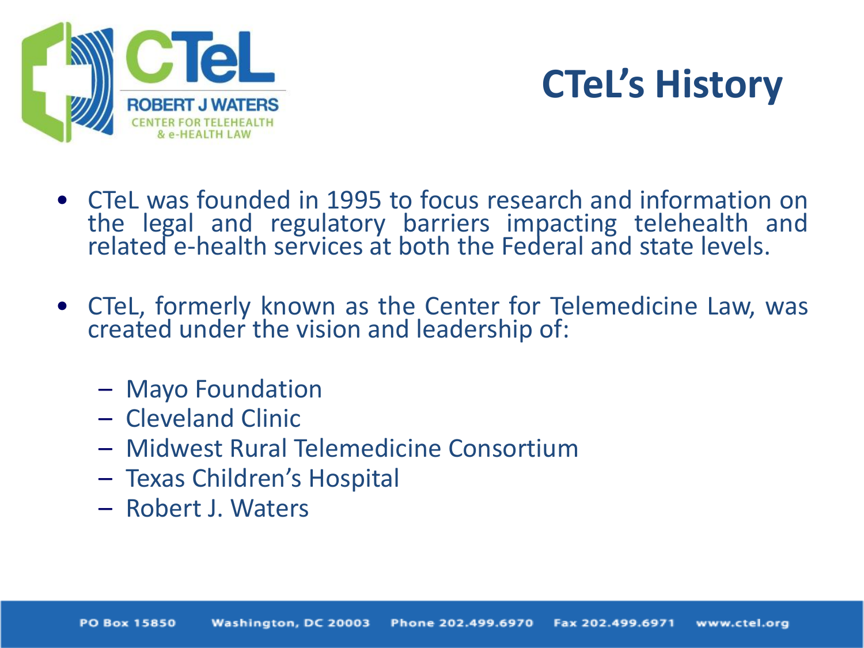



- CTeL was founded in 1995 to focus research and information on the legal and regulatory barriers impacting telehealth and related e-health services at both the Federal and state levels.
- CTeL, formerly known as the Center for Telemedicine Law, was created under the vision and leadership of:
	- Mayo Foundation
	- Cleveland Clinic
	- Midwest Rural Telemedicine Consortium
	- Texas Children's Hospital
	- Robert J. Waters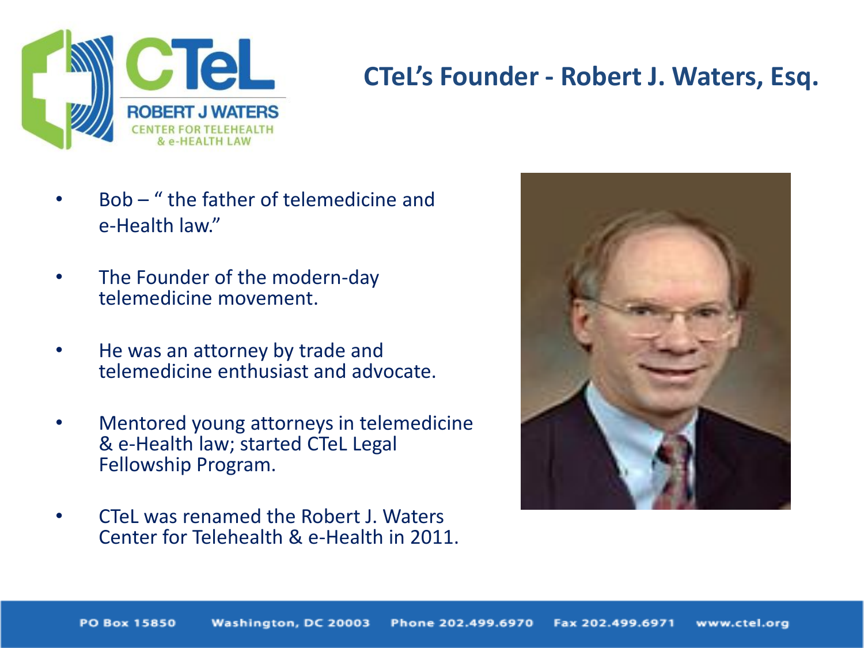

#### **CTeL's Founder - Robert J. Waters, Esq.**

- Bob " the father of telemedicine and e-Health law."
- The Founder of the modern-day telemedicine movement.
- He was an attorney by trade and telemedicine enthusiast and advocate.
- Mentored young attorneys in telemedicine & e-Health law; started CTeL Legal Fellowship Program.
- CTeL was renamed the Robert J. Waters Center for Telehealth & e-Health in 2011.

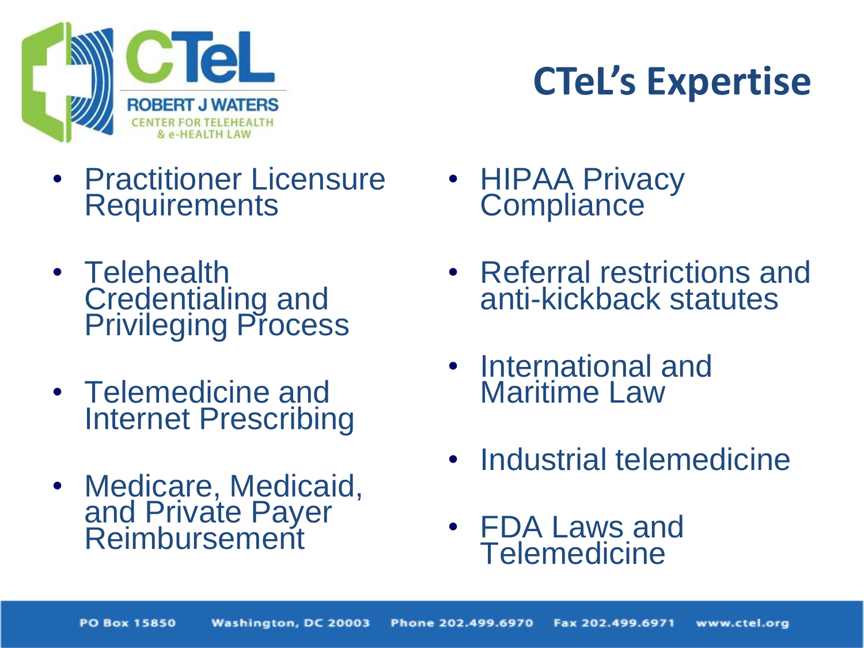

# **CTeL's Expertise**

- Practitioner Licensure **Requirements**
- Telehealth Credentialing and Privileging Process
- Telemedicine and Internet Prescribing
- Medicare, Medicaid, and Private Payer Reimbursement
- **HIPAA Privacy Compliance**
- Referral restrictions and anti-kickback statutes
- International and Maritime Law
- Industrial telemedicine
- FDA Laws and **Telemedicine**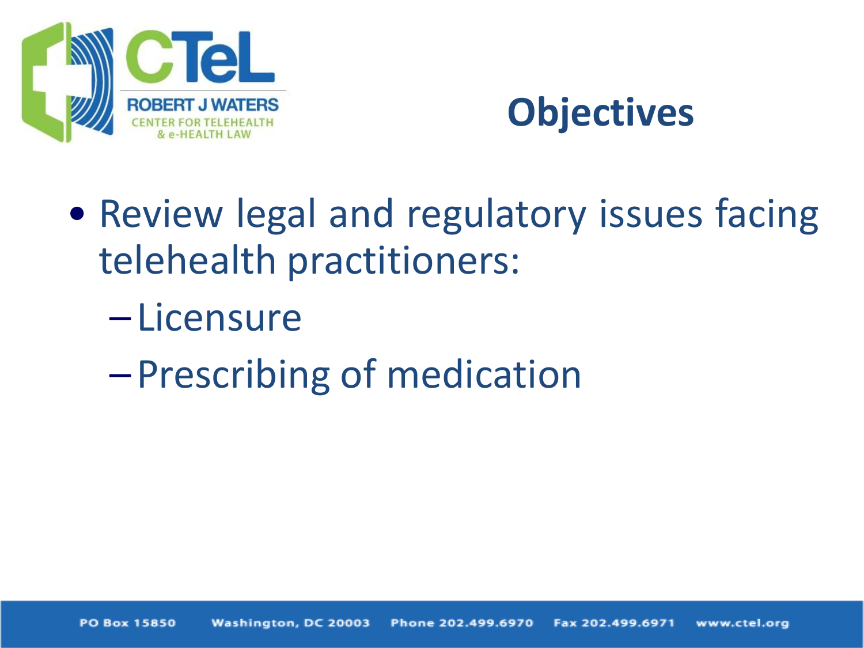

### **Objectives**

- Review legal and regulatory issues facing telehealth practitioners:
	- Licensure
	- –Prescribing of medication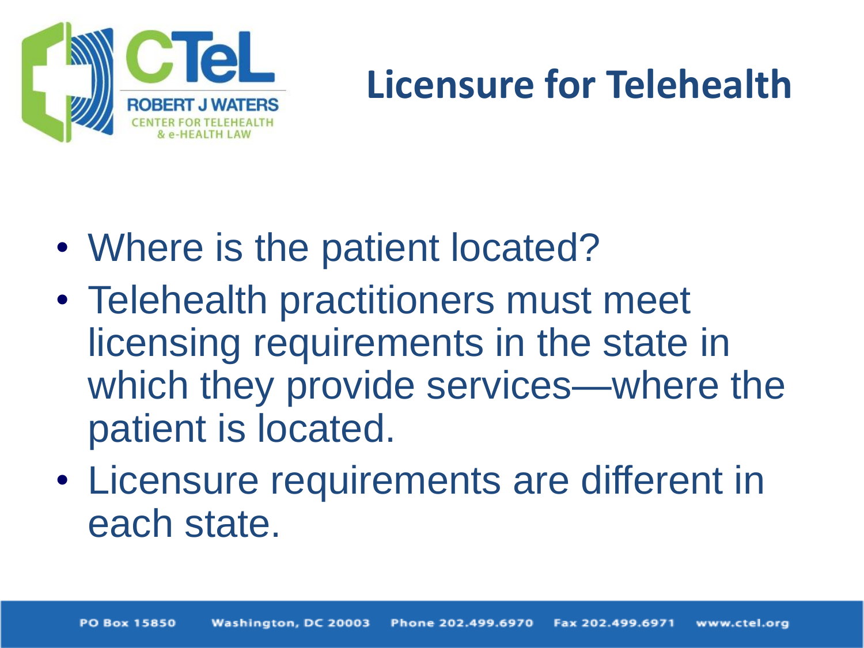

## **Licensure for Telehealth**

- Where is the patient located?
- Telehealth practitioners must meet licensing requirements in the state in which they provide services—where the patient is located.
- Licensure requirements are different in each state.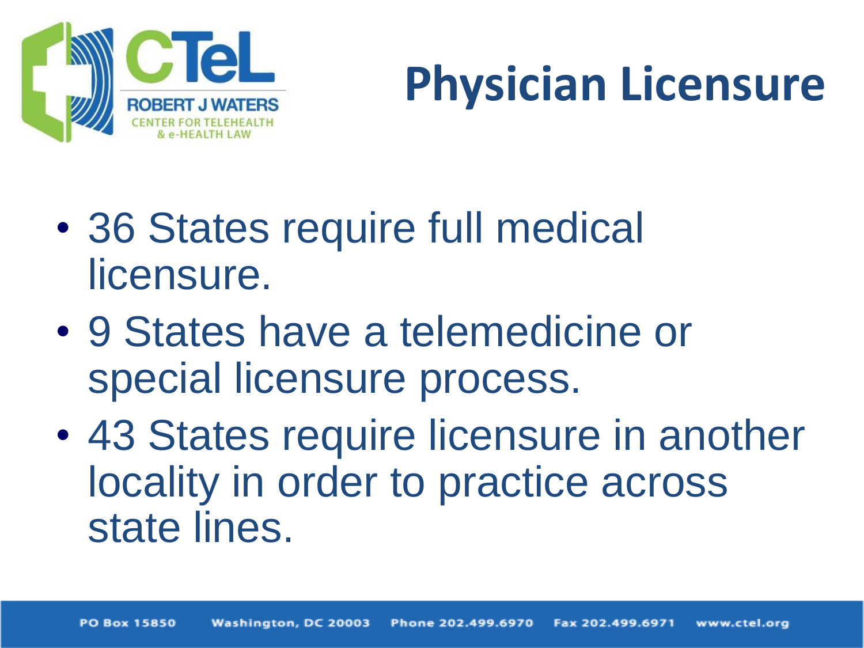

# **Physician Licensure**

- 36 States require full medical licensure.
- 9 States have a telemedicine or special licensure process.
- 43 States require licensure in another locality in order to practice across state lines.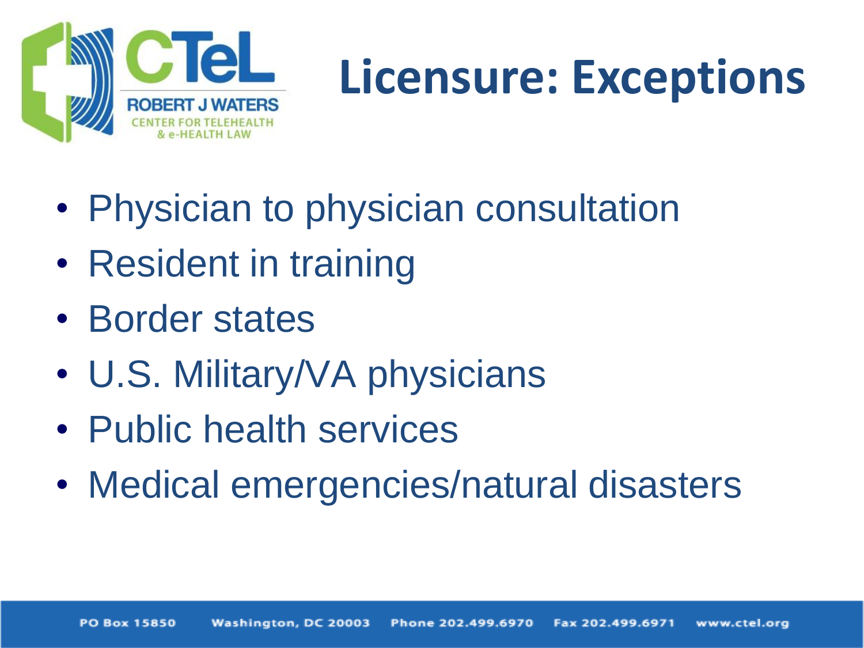

# **Licensure: Exceptions**

- Physician to physician consultation
- Resident in training
- Border states
- U.S. Military/VA physicians
- Public health services
- Medical emergencies/natural disasters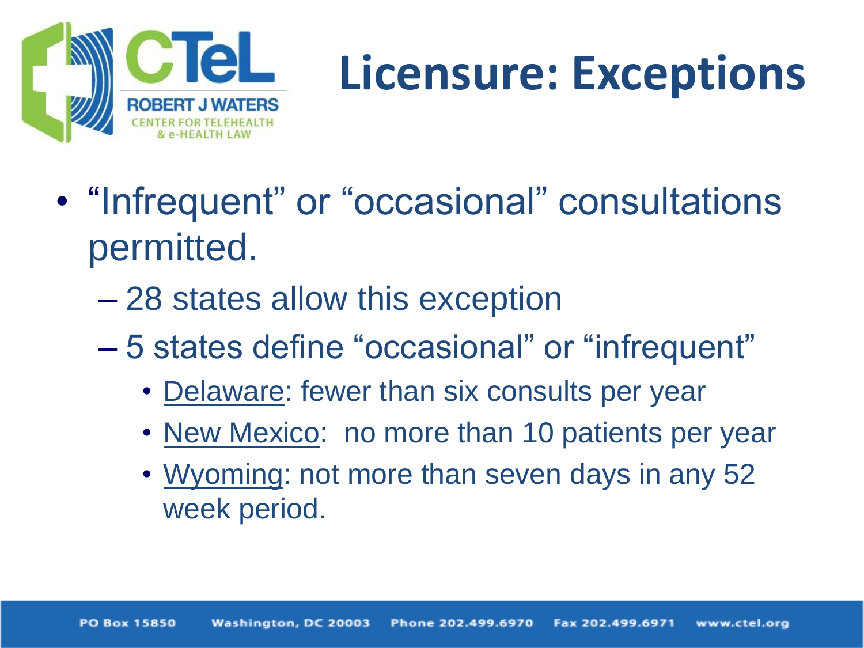

# **Licensure: Exceptions**

- "Infrequent" or "occasional" consultations permitted.
	- 28 states allow this exception
	- 5 states define "occasional" or "infrequent"
		- Delaware: fewer than six consults per year
		- New Mexico: no more than 10 patients per year
		- Wyoming: not more than seven days in any 52 week period.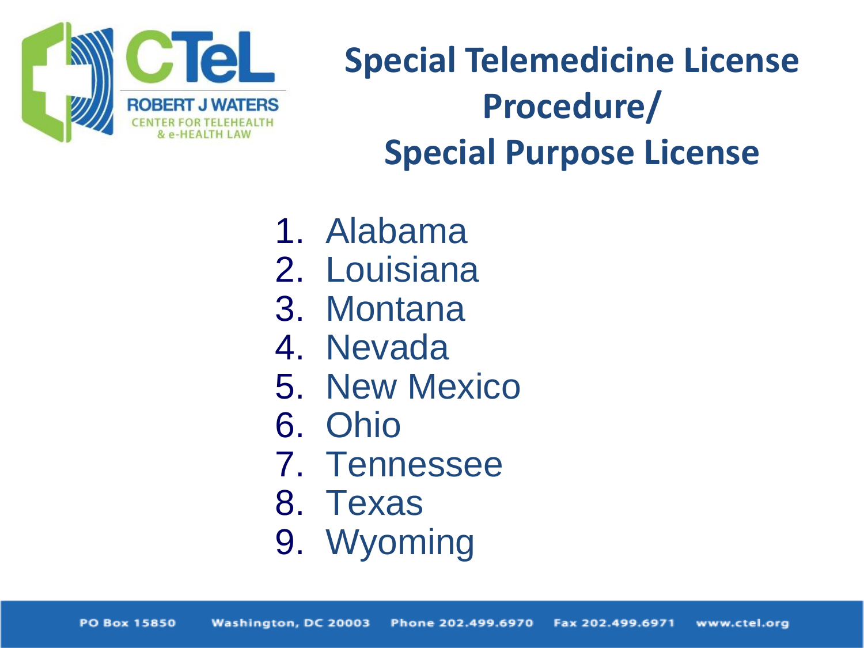

## **Special Telemedicine License Procedure/ Special Purpose License**

- 1. Alabama
- 2. Louisiana
- 3. Montana
- 4. Nevada
- 5. New Mexico
- 6. Ohio
- 7. Tennessee
- 8. Texas
- 9. Wyoming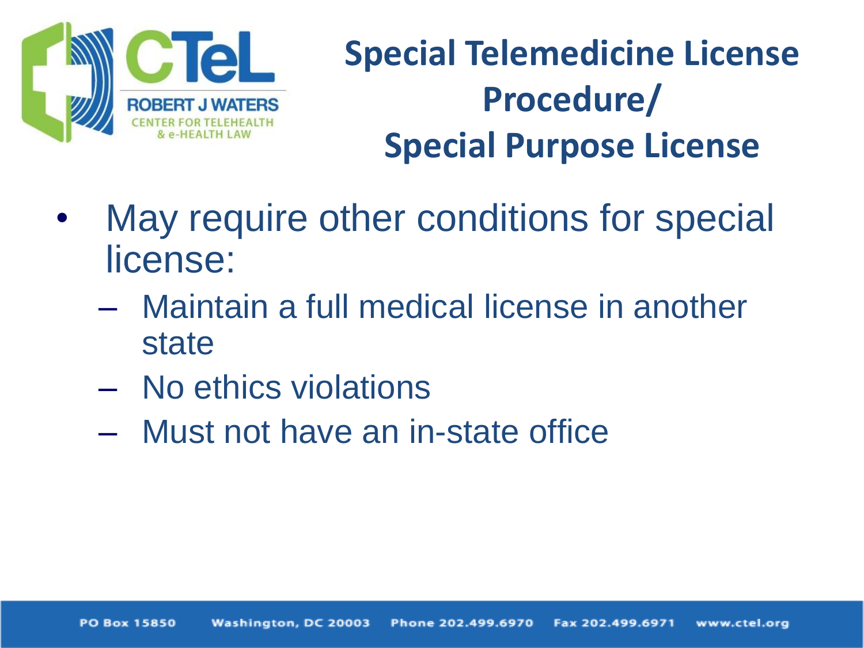

## **Special Telemedicine License Procedure/ Special Purpose License**

- May require other conditions for special license:
	- Maintain a full medical license in another state
	- No ethics violations
	- Must not have an in-state office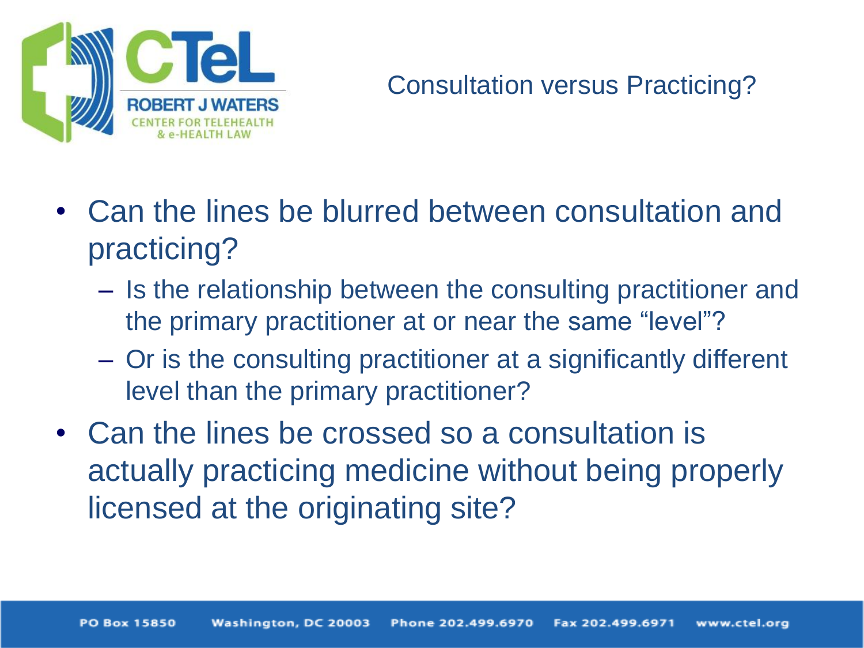

#### Consultation versus Practicing?

- Can the lines be blurred between consultation and practicing?
	- Is the relationship between the consulting practitioner and the primary practitioner at or near the same "level"?
	- Or is the consulting practitioner at a significantly different level than the primary practitioner?
- Can the lines be crossed so a consultation is actually practicing medicine without being properly licensed at the originating site?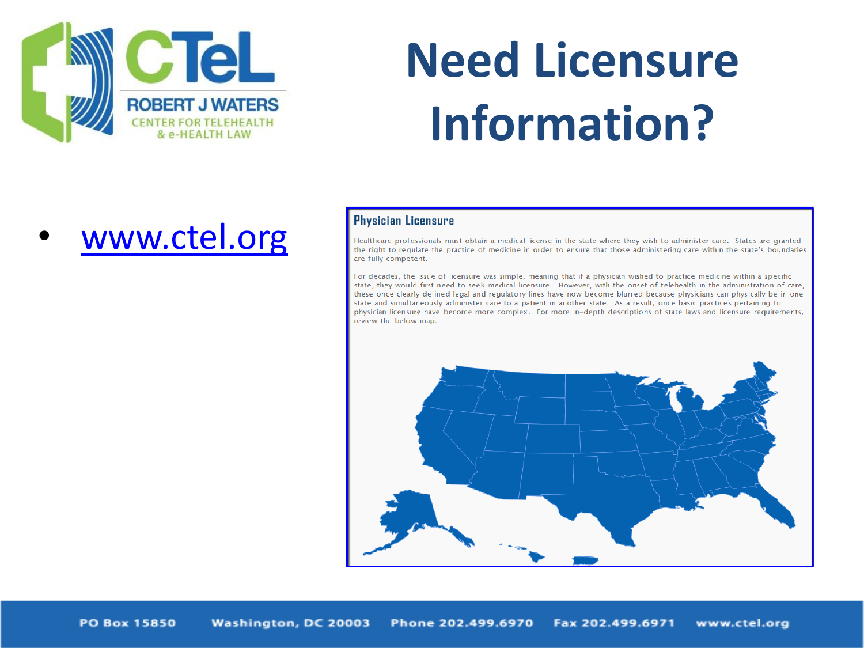

# **Need Licensure Information?**

[www.ctel.org](http://www.ctel.org/)

#### Physician Licensure

Healthcare professionals must obtain a medical license in the state where they wish to administer care. States are granted the right to regulate the practice of medicine in order to ensure that those administering care within the state's boundaries are fully competent.

For decades, the issue of licensure was simple, meaning that if a physician wished to practice medicine within a specific state, they would first need to seek medical licensure. However, with the onset of telehealth in the administration of care, these once clearly defined legal and regulatory lines have now become blurred because physicians can physically be in one state and simultaneously administer care to a patient in another state. As a result, once basic practices pertaining to physician licensure have become more complex. For more in-depth descriptions of state laws and licensure requirements. review the below map.

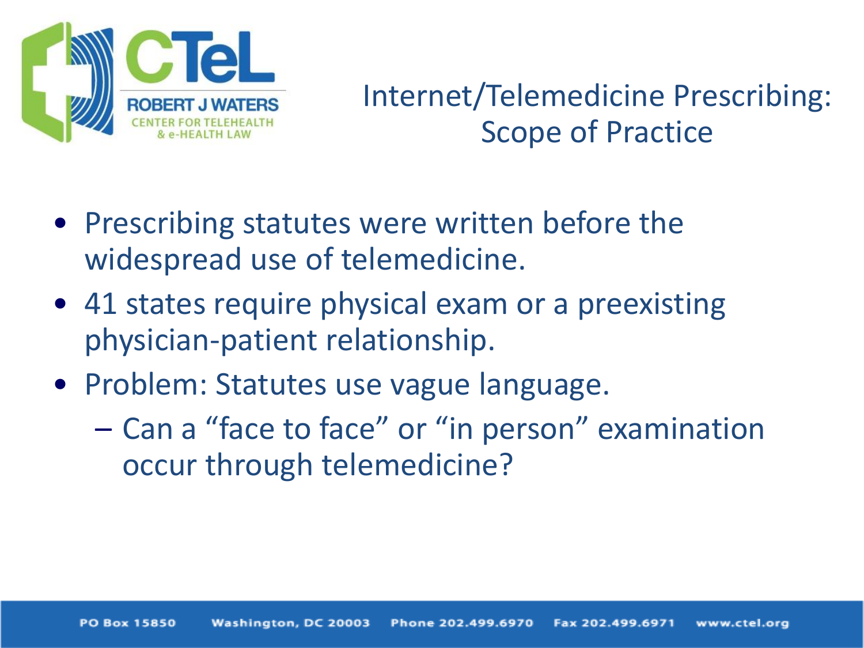

### Internet/Telemedicine Prescribing: Scope of Practice

- Prescribing statutes were written before the widespread use of telemedicine.
- 41 states require physical exam or a preexisting physician-patient relationship.
- Problem: Statutes use vague language.
	- Can a "face to face" or "in person" examination occur through telemedicine?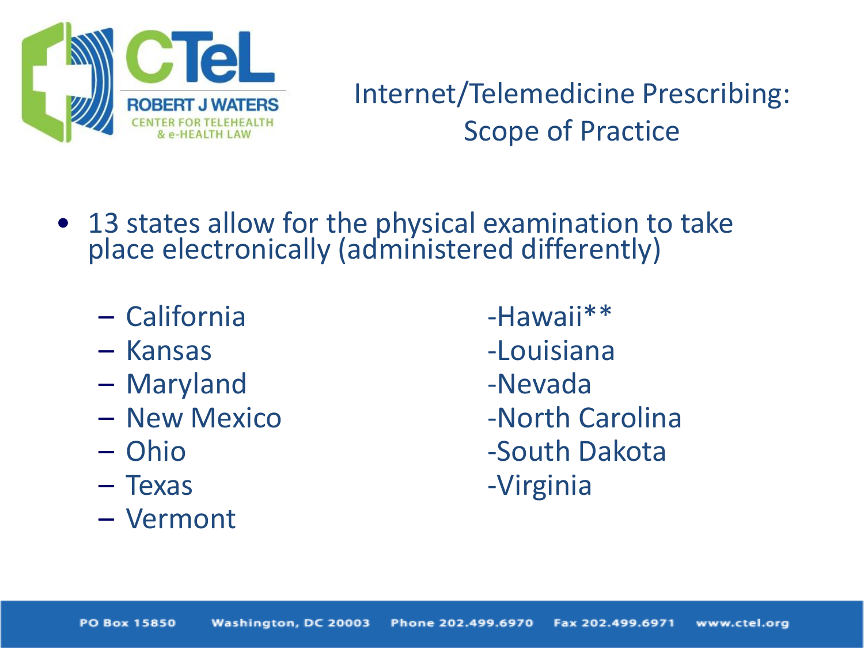

### Internet/Telemedicine Prescribing: Scope of Practice

- 13 states allow for the physical examination to take place electronically (administered differently)
	- California -Hawaii\*\*
	-
	- Maryland and a -Nevada
	-
	-
	-
	- Vermont
	- Kansas -Louisiana – New Mexico -North Carolina – Ohio -South Dakota – Texas -Virginia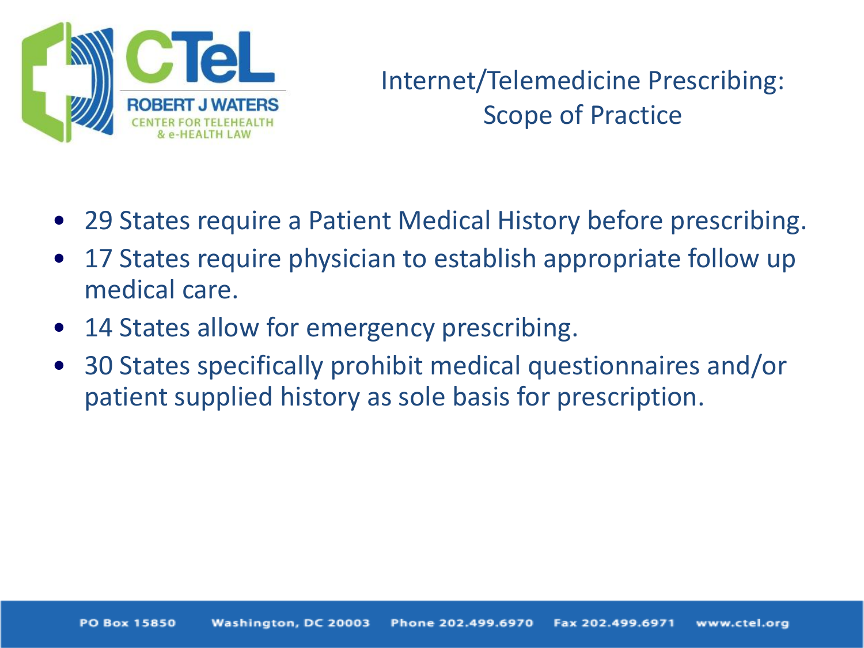

#### Internet/Telemedicine Prescribing: Scope of Practice

- 29 States require a Patient Medical History before prescribing.
- 17 States require physician to establish appropriate follow up medical care.
- 14 States allow for emergency prescribing.
- 30 States specifically prohibit medical questionnaires and/or patient supplied history as sole basis for prescription.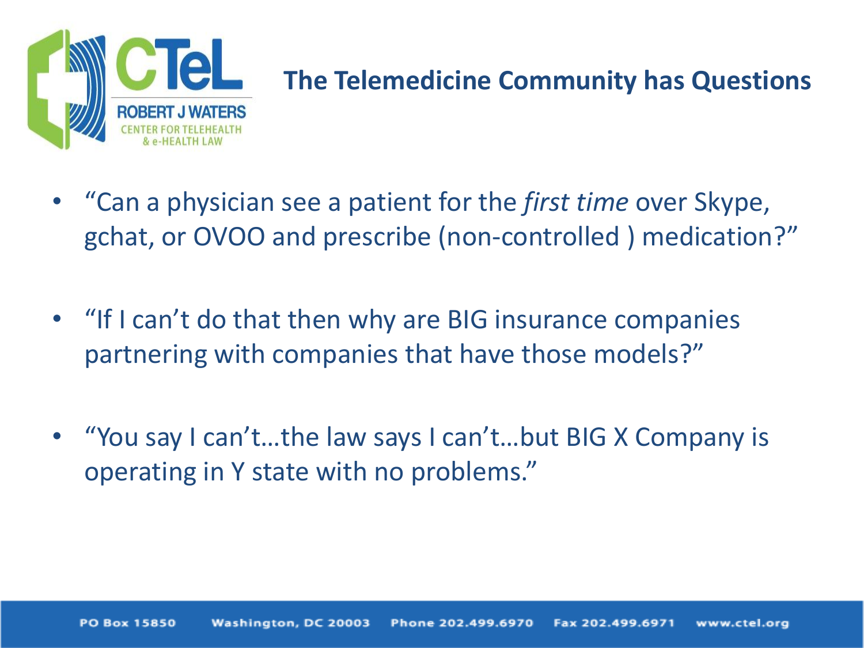

#### **The Telemedicine Community has Questions**

- "Can a physician see a patient for the *first time* over Skype, gchat, or OVOO and prescribe (non-controlled ) medication?"
- "If I can't do that then why are BIG insurance companies partnering with companies that have those models?"
- "You say I can't…the law says I can't…but BIG X Company is operating in Y state with no problems."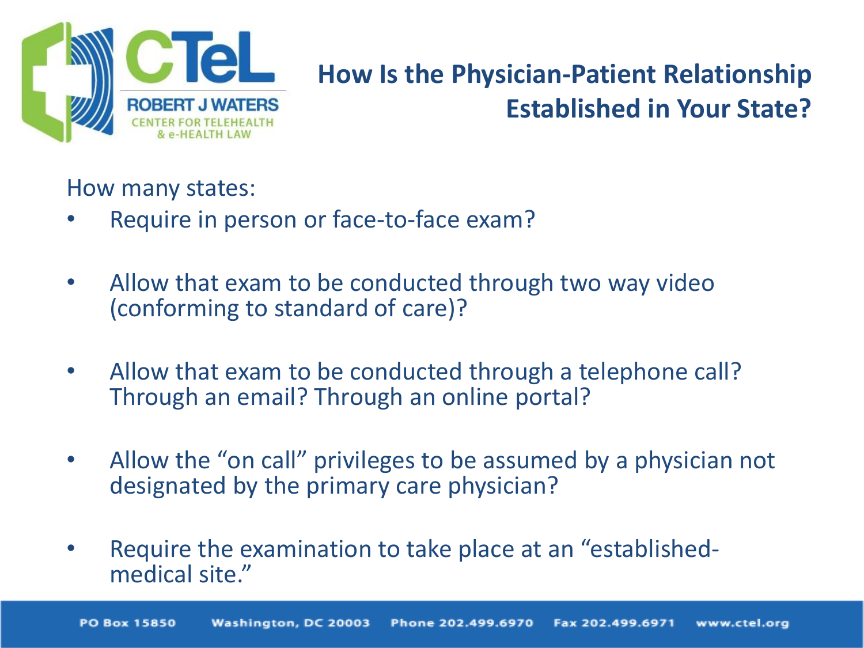

#### **How Is the Physician-Patient Relationship Established in Your State?**

How many states:

- Require in person or face-to-face exam?
- Allow that exam to be conducted through two way video (conforming to standard of care)?
- Allow that exam to be conducted through a telephone call? Through an email? Through an online portal?
- Allow the "on call" privileges to be assumed by a physician not designated by the primary care physician?
- Require the examination to take place at an "establishedmedical site."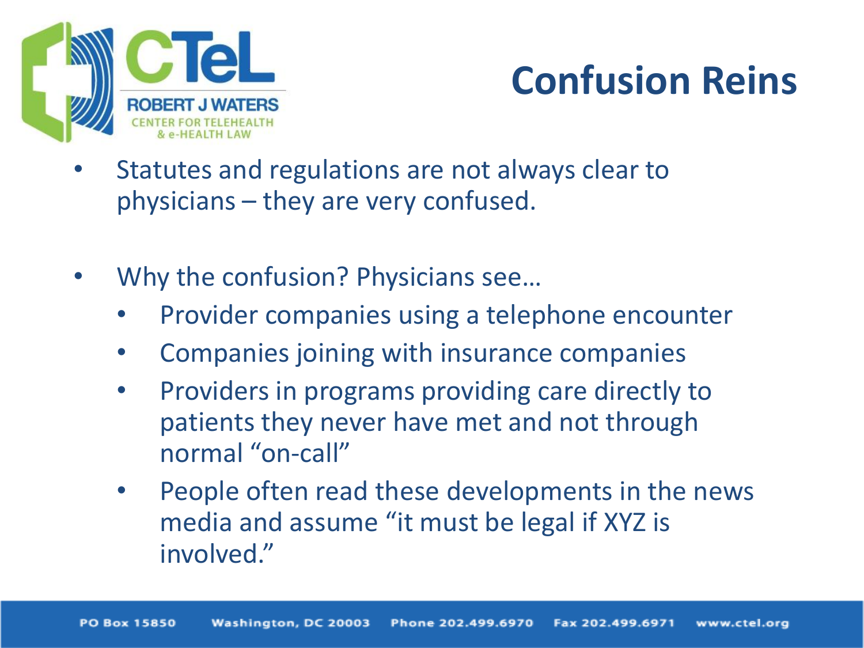

## **Confusion Reins**

- Statutes and regulations are not always clear to physicians – they are very confused.
- Why the confusion? Physicians see...
	- Provider companies using a telephone encounter
	- Companies joining with insurance companies
	- Providers in programs providing care directly to patients they never have met and not through normal "on-call"
	- People often read these developments in the news media and assume "it must be legal if XYZ is involved."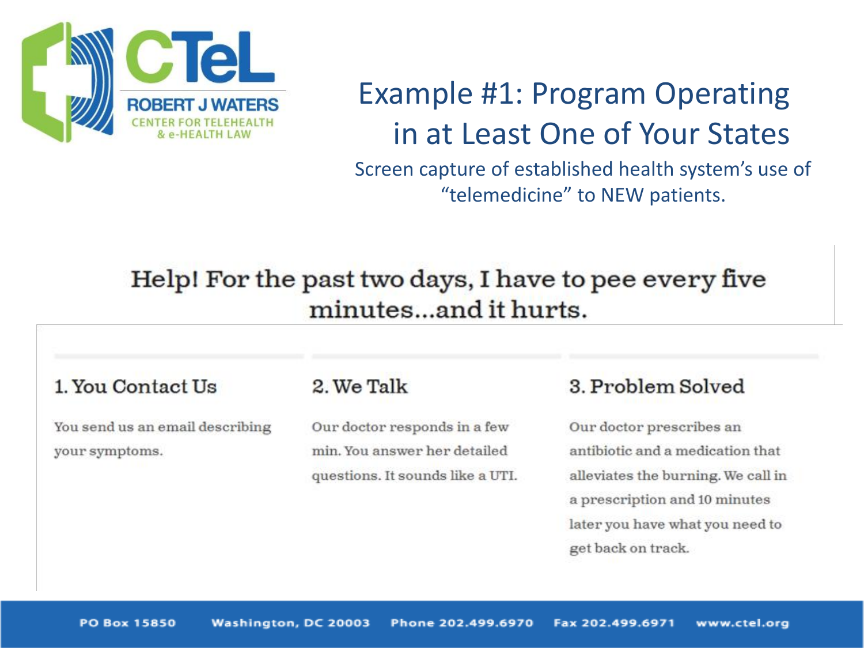

### Example #1: Program Operating in at Least One of Your States

Screen capture of established health system's use of "telemedicine" to NEW patients.

#### Help! For the past two days, I have to pee every five minutes...and it hurts.

#### 1. You Contact Us

You send us an email describing your symptoms.

#### 2. We Talk

Our doctor responds in a few min. You answer her detailed questions. It sounds like a UTI.

#### 3. Problem Solved

Our doctor prescribes an antibiotic and a medication that alleviates the burning. We call in a prescription and 10 minutes later you have what you need to get back on track.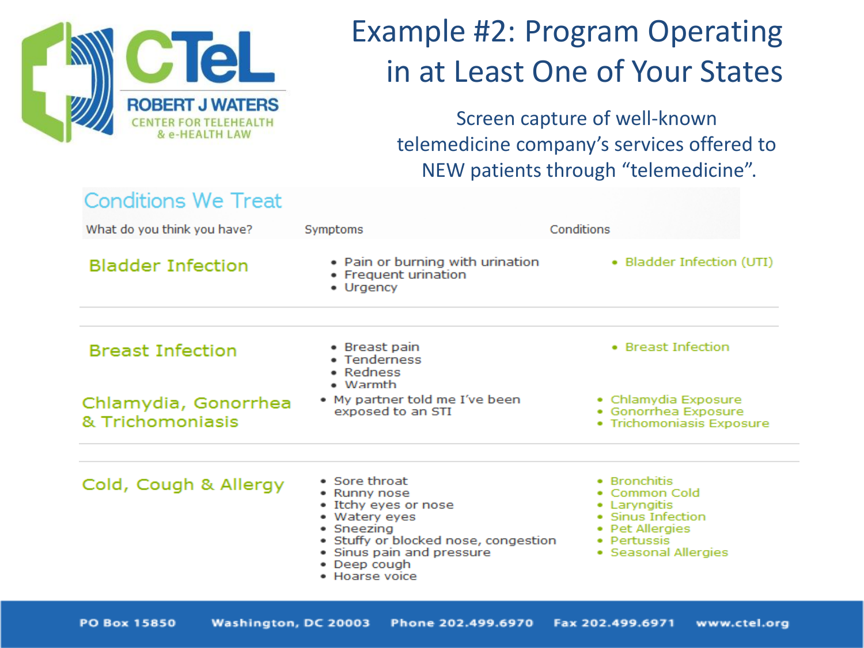

### Example #2: Program Operating in at Least One of Your States

Screen capture of well-known telemedicine company's services offered to NEW patients through "telemedicine".

| <b>Conditions We Treat</b>               |                                                                                                                                                                                             |                                                                                                                              |
|------------------------------------------|---------------------------------------------------------------------------------------------------------------------------------------------------------------------------------------------|------------------------------------------------------------------------------------------------------------------------------|
| What do you think you have?              | Symptoms                                                                                                                                                                                    | Conditions                                                                                                                   |
| <b>Bladder Infection</b>                 | • Pain or burning with urination<br>• Frequent urination<br>• Urgency                                                                                                                       | • Bladder Infection (UTI)                                                                                                    |
| <b>Breast Infection</b>                  | • Breast pain<br>• Tenderness<br>• Redness<br>$\bullet$ Warmth                                                                                                                              | • Breast Infection                                                                                                           |
| Chlamydia, Gonorrhea<br>& Trichomoniasis | • My partner told me I've been<br>exposed to an STI                                                                                                                                         | • Chlamydia Exposure<br>· Gonorrhea Exposure<br>· Trichomoniasis Exposure                                                    |
| Cold, Cough & Allergy                    | • Sore throat<br>• Runny nose<br>• Itchy eyes or nose<br>• Watery eyes<br>• Sneezing<br>• Stuffy or blocked nose, congestion<br>• Sinus pain and pressure<br>• Deep cough<br>• Hoarse voice | • Bronchitis<br>• Common Cold<br>• Laryngitis<br>• Sinus Infection<br>• Pet Allergies<br>• Pertussis<br>• Seasonal Allergies |